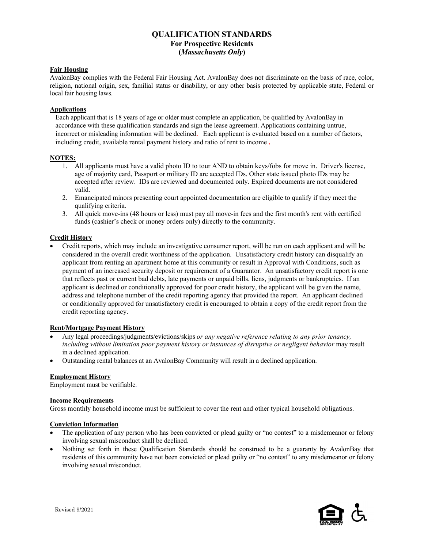# **QUALIFICATION STANDARDS For Prospective Residents (***Massachusetts Only***)**

# **Fair Housing**

AvalonBay complies with the Federal Fair Housing Act. AvalonBay does not discriminate on the basis of race, color, religion, national origin, sex, familial status or disability, or any other basis protected by applicable state, Federal or local fair housing laws.

### **Applications**

Each applicant that is 18 years of age or older must complete an application, be qualified by AvalonBay in accordance with these qualification standards and sign the lease agreement. Applications containing untrue, incorrect or misleading information will be declined. Each applicant is evaluated based on a number of factors, including credit, available rental payment history and ratio of rent to income.

#### **NOTES:**

- 1. All applicants must have a valid photo ID to tour AND to obtain keys/fobs for move in. Driver's license, age of majority card, Passport or military ID are accepted IDs. Other state issued photo IDs may be accepted after review. IDs are reviewed and documented only. Expired documents are not considered valid.
- 2. Emancipated minors presenting court appointed documentation are eligible to qualify if they meet the qualifying criteria.
- 3. All quick move-ins (48 hours or less) must pay all move-in fees and the first month's rent with certified funds (cashier's check or money orders only) directly to the community.

#### **Credit History**

• Credit reports, which may include an investigative consumer report, will be run on each applicant and will be considered in the overall credit worthiness of the application. Unsatisfactory credit history can disqualify an applicant from renting an apartment home at this community or result in Approval with Conditions, such as payment of an increased security deposit or requirement of a Guarantor. An unsatisfactory credit report is one that reflects past or current bad debts, late payments or unpaid bills, liens, judgments or bankruptcies. If an applicant is declined or conditionally approved for poor credit history, the applicant will be given the name, address and telephone number of the credit reporting agency that provided the report. An applicant declined or conditionally approved for unsatisfactory credit is encouraged to obtain a copy of the credit report from the credit reporting agency.

## **Rent/Mortgage Payment History**

- Any legal proceedings/judgments/evictions/skips *or any negative reference relating to any prior tenancy, including without limitation poor payment history or instances of disruptive or negligent behavior* may result in a declined application.
- Outstanding rental balances at an AvalonBay Community will result in a declined application.

#### **Employment History**

Employment must be verifiable.

#### **Income Requirements**

Gross monthly household income must be sufficient to cover the rent and other typical household obligations.

#### **Conviction Information**

- The application of any person who has been convicted or plead guilty or "no contest" to a misdemeanor or felony involving sexual misconduct shall be declined.
- Nothing set forth in these Qualification Standards should be construed to be a guaranty by AvalonBay that residents of this community have not been convicted or plead guilty or "no contest" to any misdemeanor or felony involving sexual misconduct.